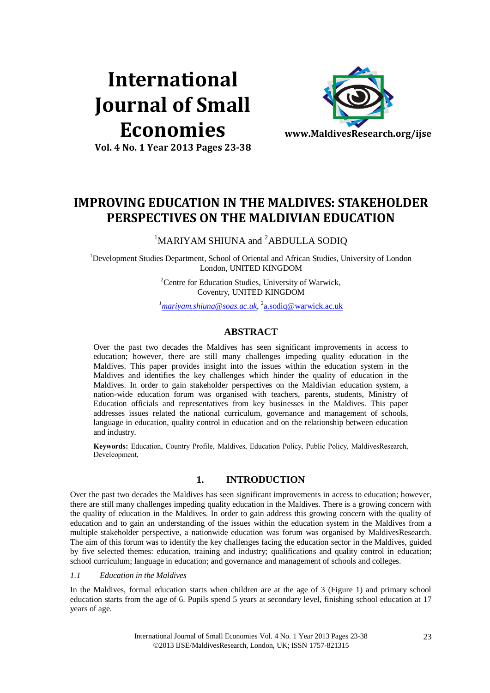# **International Journal of Small Economies**



**Vol. 4 No. 1 Year 2013 Pages 23-38**

# **IMPROVING EDUCATION IN THE MALDIVES: STAKEHOLDER PERSPECTIVES ON THE MALDIVIAN EDUCATION**

<sup>1</sup>MARIYAM SHIUNA and <sup>2</sup>ABDULLA SODIO

<sup>1</sup>Development Studies Department, School of Oriental and African Studies, University of London London, UNITED KINGDOM

> <sup>2</sup>Centre for Education Studies, University of Warwick, Coventry, UNITED KINGDOM

> *<sup>1</sup>[mariyam.shiuna@soas.ac.uk](mailto:mariyam.shiuna@soas.ac.uk)*, 2 [a.sodiq@warwick.ac.uk](mailto:a.sodiq@warwick.ac.uk)

# **ABSTRACT**

Over the past two decades the Maldives has seen significant improvements in access to education; however, there are still many challenges impeding quality education in the Maldives. This paper provides insight into the issues within the education system in the Maldives and identifies the key challenges which hinder the quality of education in the Maldives. In order to gain stakeholder perspectives on the Maldivian education system, a nation-wide education forum was organised with teachers, parents, students, Ministry of Education officials and representatives from key businesses in the Maldives. This paper addresses issues related the national curriculum, governance and management of schools, language in education, quality control in education and on the relationship between education and industry.

**Keywords:** Education, Country Profile, Maldives, Education Policy, Public Policy, MaldivesResearch, Develeopment,

# **1. INTRODUCTION**

Over the past two decades the Maldives has seen significant improvements in access to education; however, there are still many challenges impeding quality education in the Maldives. There is a growing concern with the quality of education in the Maldives. In order to gain address this growing concern with the quality of education and to gain an understanding of the issues within the education system in the Maldives from a multiple stakeholder perspective, a nationwide education was forum was organised by MaldivesResearch. The aim of this forum was to identify the key challenges facing the education sector in the Maldives, guided by five selected themes: education, training and industry; qualifications and quality control in education; school curriculum; language in education; and governance and management of schools and colleges.

*1.1 Education in the Maldives* 

In the Maldives, formal education starts when children are at the age of 3 (Figure 1) and primary school education starts from the age of 6. Pupils spend 5 years at secondary level, finishing school education at 17 years of age.

> International Journal of Small Economies Vol. 4 No. 1 Year 2013 Pages 23-38 2013 IJSE/MaldivesResearch, London, UK; ISSN 1757-821315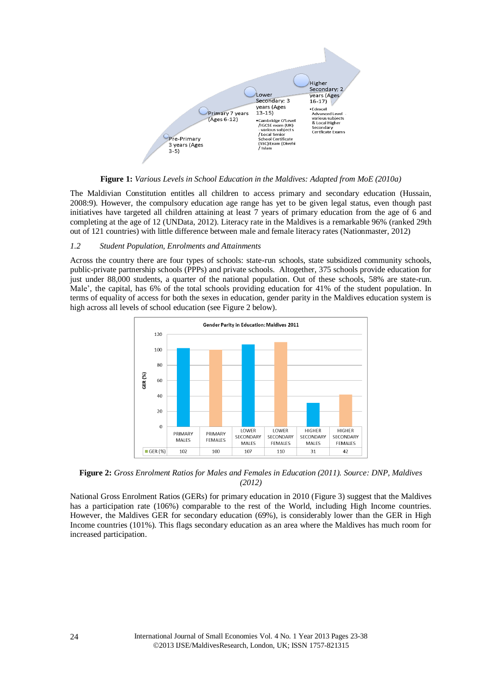

**Figure 1:** *Various Levels in School Education in the Maldives: Adapted from MoE (2010a)*

The Maldivian Constitution entitles all children to access primary and secondary education (Hussain, 2008:9). However, the compulsory education age range has yet to be given legal status, even though past initiatives have targeted all children attaining at least 7 years of primary education from the age of 6 and completing at the age of 12 (UNData, 2012). Literacy rate in the Maldives is a remarkable 96% (ranked 29th out of 121 countries) with little difference between male and female literacy rates (Nationmaster, 2012)

#### *1.2 Student Population, Enrolments and Attainments*

Across the country there are four types of schools: state-run schools, state subsidized community schools, public-private partnership schools (PPPs) and private schools. Altogether, 375 schools provide education for just under 88,000 students, a quarter of the national population. Out of these schools, 58% are state-run. Male', the capital, has 6% of the total schools providing education for 41% of the student population. In terms of equality of access for both the sexes in education, gender parity in the Maldives education system is high across all levels of school education (see Figure 2 below).



**Figure 2:** *Gross Enrolment Ratios for Males and Females in Education (2011). Source: DNP, Maldives (2012)*

National Gross Enrolment Ratios (GERs) for primary education in 2010 [\(Figure 3\)](#page-2-0) suggest that the Maldives has a participation rate (106%) comparable to the rest of the World, including High Income countries. However, the Maldives GER for secondary education (69%), is considerably lower than the GER in High Income countries (101%). This flags secondary education as an area where the Maldives has much room for increased participation.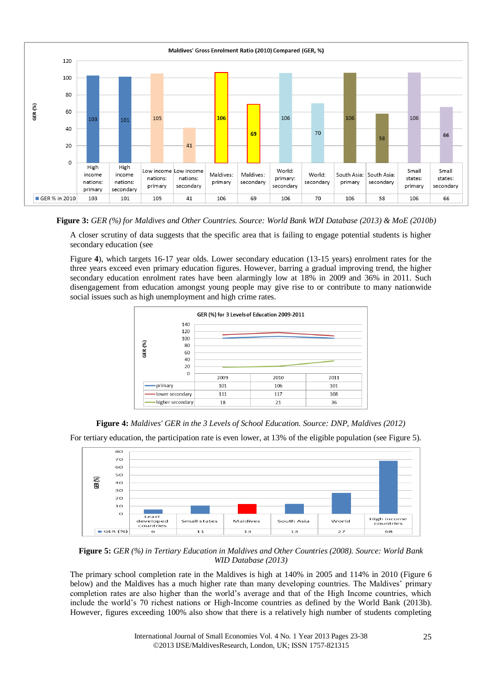

<span id="page-2-0"></span>**Figure 3:** *GER (%) for Maldives and Other Countries. Source: World Bank WDI Database (2013) & MoE (2010b)*

A closer scrutiny of data suggests that the specific area that is failing to engage potential students is higher secondary education (see

[Figure](#page-2-1) **4**), which targets 16-17 year olds. Lower secondary education (13-15 years) enrolment rates for the three years exceed even primary education figures. However, barring a gradual improving trend, the higher secondary education enrolment rates have been alarmingly low at 18% in 2009 and 36% in 2011. Such disengagement from education amongst young people may give rise to or contribute to many nationwide social issues such as high unemployment and high crime rates.

<span id="page-2-1"></span>

**Figure 4:** *Maldives' GER in the 3 Levels of School Education. Source: DNP, Maldives (2012)*

For tertiary education, the participation rate is even lower, at 13% of the eligible population (see Figure 5).



**Figure 5:** *GER (%) in Tertiary Education in Maldives and Other Countries (2008). Source: World Bank WID Database (2013)*

The primary school completion rate in the Maldives is high at 140% in 2005 and 114% in 2010 [\(Figure 6](#page-3-0) below) and the Maldives has a much higher rate than many developing countries. The Maldives' primary completion rates are also higher than the world's average and that of the High Income countries, which include the world's 70 richest nations or High-Income countries as defined by the World Bank (2013b). However, figures exceeding 100% also show that there is a relatively high number of students completing

> International Journal of Small Economies Vol. 4 No. 1 Year 2013 Pages 23-38 2013 IJSE/MaldivesResearch, London, UK; ISSN 1757-821315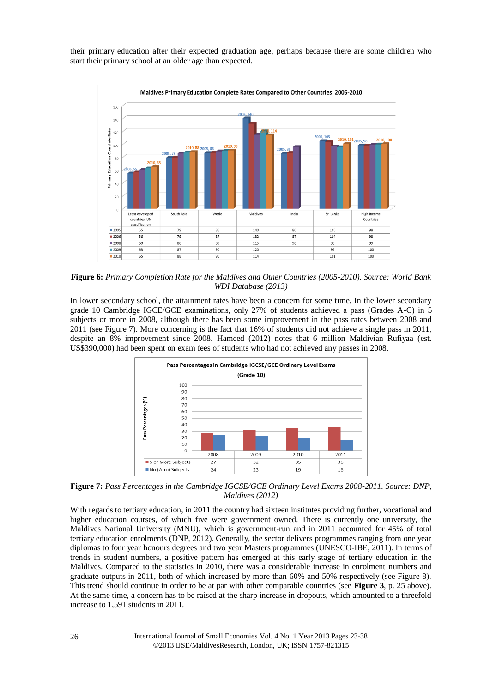their primary education after their expected graduation age, perhaps because there are some children who start their primary school at an older age than expected.



<span id="page-3-0"></span>**Figure 6:** *Primary Completion Rate for the Maldives and Other Countries (2005-2010). Source: World Bank WDI Database (2013)*

In lower secondary school, the attainment rates have been a concern for some time. In the lower secondary grade 10 Cambridge IGCE/GCE examinations, only 27% of students achieved a pass (Grades A-C) in 5 subjects or more in 2008, although there has been some improvement in the pass rates between 2008 and 2011 (see Figure 7). More concerning is the fact that 16% of students did not achieve a single pass in 2011, despite an 8% improvement since 2008. Hameed (2012) notes that 6 million Maldivian Rufiyaa (est. US\$390,000) had been spent on exam fees of students who had not achieved any passes in 2008.



<span id="page-3-1"></span>**Figure 7:** *Pass Percentages in the Cambridge IGCSE/GCE Ordinary Level Exams 2008-2011. Source: DNP, Maldives (2012)*

<span id="page-3-2"></span>With regards to tertiary education, in 2011 the country had sixteen institutes providing further, vocational and higher education courses, of which five were government owned. There is currently one university, the Maldives National University (MNU), which is government-run and in 2011 accounted for 45% of total tertiary education enrolments (DNP, 2012). Generally, the sector delivers programmes ranging from one year diplomas to four year honours degrees and two year Masters programmes (UNESCO-IBE, 2011). In terms of trends in student numbers, a positive pattern has emerged at this early stage of tertiary education in the Maldives. Compared to the statistics in 2010, there was a considerable increase in enrolment numbers and graduate outputs in 2011, both of which increased by more than 60% and 50% respectively (see Figure 8). This trend should continue in order to be at par with other comparable countries (see **[Figure 3](#page-2-0)**, p. [25](#page-2-0) above). At the same time, a concern has to be raised at the sharp increase in dropouts, which amounted to a threefold increase to 1,591 students in 2011.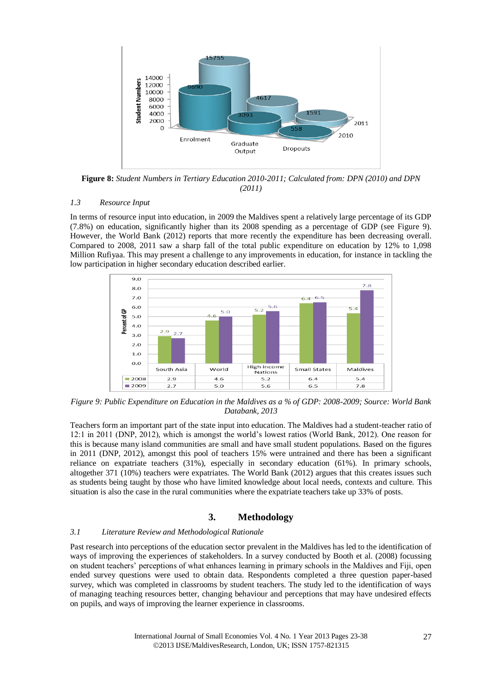

<span id="page-4-2"></span>**Figure 8:** *Student Numbers in Tertiary Education 2010-2011; Calculated from: DPN (2010) and DPN (2011)*

#### *1.3 Resource Input*

In terms of resource input into education, in 2009 the Maldives spent a relatively large percentage of its GDP (7.8%) on education, significantly higher than its 2008 spending as a percentage of GDP (see Figure 9). However, the World Bank (2012) reports that more recently the expenditure has been decreasing overall. Compared to 2008, 2011 saw a sharp fall of the total public expenditure on education by 12% to 1,098 Million Rufiyaa. This may present a challenge to any improvements in education, for instance in tackling the low participation in higher secondary education described earlier.

<span id="page-4-1"></span>

*Figure 9: Public Expenditure on Education in the Maldives as a % of GDP: 2008-2009; Source: World Bank Databank, 2013*

Teachers form an important part of the state input into education. The Maldives had a student-teacher ratio of 12:1 in 2011 (DNP, 2012), which is amongst the world's lowest ratios (World Bank, 2012). One reason for this is because many island communities are small and have small student populations. Based on the figures in 2011 (DNP, 2012), amongst this pool of teachers 15% were untrained and there has been a significant reliance on expatriate teachers (31%), especially in secondary education (61%). In primary schools, altogether 371 (10%) teachers were expatriates. The World Bank (2012) argues that this creates issues such as students being taught by those who have limited knowledge about local needs, contexts and culture. This situation is also the case in the rural communities where the expatriate teachers take up 33% of posts.

### <span id="page-4-0"></span>**3. Methodology**

#### *3.1 Literature Review and Methodological Rationale*

Past research into perceptions of the education sector prevalent in the Maldives has led to the identification of ways of improving the experiences of stakeholders. In a survey conducted by Booth et al. (2008) focussing on student teachers' perceptions of what enhances learning in primary schools in the Maldives and Fiji, open ended survey questions were used to obtain data. Respondents completed a three question paper-based survey, which was completed in classrooms by student teachers. The study led to the identification of ways of managing teaching resources better, changing behaviour and perceptions that may have undesired effects on pupils, and ways of improving the learner experience in classrooms.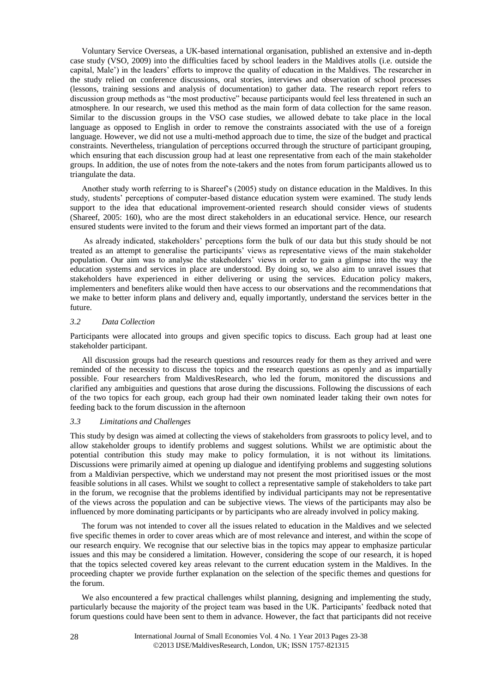Voluntary Service Overseas, a UK-based international organisation, published an extensive and in-depth case study (VSO, 2009) into the difficulties faced by school leaders in the Maldives atolls (i.e. outside the capital, Male') in the leaders' efforts to improve the quality of education in the Maldives. The researcher in the study relied on conference discussions, oral stories, interviews and observation of school processes (lessons, training sessions and analysis of documentation) to gather data. The research report refers to discussion group methods as "the most productive" because participants would feel less threatened in such an atmosphere. In our research, we used this method as the main form of data collection for the same reason. Similar to the discussion groups in the VSO case studies, we allowed debate to take place in the local language as opposed to English in order to remove the constraints associated with the use of a foreign language. However, we did not use a multi-method approach due to time, the size of the budget and practical constraints. Nevertheless, triangulation of perceptions occurred through the structure of participant grouping, which ensuring that each discussion group had at least one representative from each of the main stakeholder groups. In addition, the use of notes from the note-takers and the notes from forum participants allowed us to triangulate the data.

<span id="page-5-0"></span>Another study worth referring to is Shareef's (2005) study on distance education in the Maldives. In this study, students' perceptions of computer-based distance education system were examined. The study lends support to the idea that educational improvement-oriented research should consider views of students (Shareef, 2005: 160), who are the most direct stakeholders in an educational service. Hence, our research ensured students were invited to the forum and their views formed an important part of the data.

As already indicated, stakeholders' perceptions form the bulk of our data but this study should be not treated as an attempt to generalise the participants' views as representative views of the main stakeholder population. Our aim was to analyse the stakeholders' views in order to gain a glimpse into the way the education systems and services in place are understood. By doing so, we also aim to unravel issues that stakeholders have experienced in either delivering or using the services. Education policy makers, implementers and benefiters alike would then have access to our observations and the recommendations that we make to better inform plans and delivery and, equally importantly, understand the services better in the future.

#### *3.2 Data Collection*

Participants were allocated into groups and given specific topics to discuss. Each group had at least one stakeholder participant.

All discussion groups had the research questions and resources ready for them as they arrived and were reminded of the necessity to discuss the topics and the research questions as openly and as impartially possible. Four researchers from MaldivesResearch, who led the forum, monitored the discussions and clarified any ambiguities and questions that arose during the discussions. Following the discussions of each of the two topics for each group, each group had their own nominated leader taking their own notes for feeding back to the forum discussion in the afternoon

#### *3.3 Limitations and Challenges*

This study by design was aimed at collecting the views of stakeholders from grassroots to policy level, and to allow stakeholder groups to identify problems and suggest solutions. Whilst we are optimistic about the potential contribution this study may make to policy formulation, it is not without its limitations. Discussions were primarily aimed at opening up dialogue and identifying problems and suggesting solutions from a Maldivian perspective, which we understand may not present the most prioritised issues or the most feasible solutions in all cases. Whilst we sought to collect a representative sample of stakeholders to take part in the forum, we recognise that the problems identified by individual participants may not be representative of the views across the population and can be subjective views. The views of the participants may also be influenced by more dominating participants or by participants who are already involved in policy making.

The forum was not intended to cover all the issues related to education in the Maldives and we selected five specific themes in order to cover areas which are of most relevance and interest, and within the scope of our research enquiry. We recognise that our selective bias in the topics may appear to emphasize particular issues and this may be considered a limitation. However, considering the scope of our research, it is hoped that the topics selected covered key areas relevant to the current education system in the Maldives. In the proceeding chapter we provide further explanation on the selection of the specific themes and questions for the forum.

We also encountered a few practical challenges whilst planning, designing and implementing the study, particularly because the majority of the project team was based in the UK. Participants' feedback noted that forum questions could have been sent to them in advance. However, the fact that participants did not receive

> International Journal of Small Economies Vol. 4 No. 1 Year 2013 Pages 23-38 ©2013 IJSE/MaldivesResearch, London, UK; ISSN 1757-821315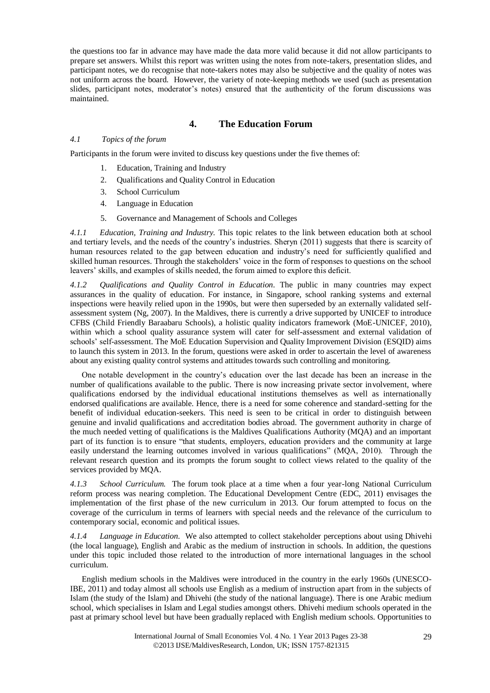the questions too far in advance may have made the data more valid because it did not allow participants to prepare set answers. Whilst this report was written using the notes from note-takers, presentation slides, and participant notes, we do recognise that note-takers notes may also be subjective and the quality of notes was not uniform across the board. However, the variety of note-keeping methods we used (such as presentation slides, participant notes, moderator's notes) ensured that the authenticity of the forum discussions was maintained.

## <span id="page-6-0"></span>**4. The Education Forum**

#### *4.1 Topics of the forum*

Participants in the forum were invited to discuss key questions under the five themes of:

- 1. Education, Training and Industry
- 2. Qualifications and Quality Control in Education
- 3. School Curriculum
- 4. Language in Education
- 5. Governance and Management of Schools and Colleges

*4.1.1 Education, Training and Industry.* This topic relates to the link between education both at school and tertiary levels, and the needs of the country's industries. Sheryn (2011) suggests that there is scarcity of human resources related to the gap between education and industry's need for sufficiently qualified and skilled human resources. Through the stakeholders' voice in the form of responses to questions on the school leavers' skills, and examples of skills needed, the forum aimed to explore this deficit.

<span id="page-6-1"></span>*4.1.2 Qualifications and Quality Control in Education.* The public in many countries may expect assurances in the quality of education. For instance, in Singapore, school ranking systems and external inspections were heavily relied upon in the 1990s, but were then superseded by an externally validated selfassessment system (Ng, 2007). In the Maldives, there is currently a drive supported by UNICEF to introduce CFBS (Child Friendly Baraabaru Schools), a holistic quality indicators framework (MoE-UNICEF, 2010), within which a school quality assurance system will cater for self-assessment and external validation of schools' self-assessment. The MoE Education Supervision and Quality Improvement Division (ESQID) aims to launch this system in 2013. In the forum, questions were asked in order to ascertain the level of awareness about any existing quality control systems and attitudes towards such controlling and monitoring.

One notable development in the country's education over the last decade has been an increase in the number of qualifications available to the public. There is now increasing private sector involvement, where qualifications endorsed by the individual educational institutions themselves as well as internationally endorsed qualifications are available. Hence, there is a need for some coherence and standard-setting for the benefit of individual education-seekers. This need is seen to be critical in order to distinguish between genuine and invalid qualifications and accreditation bodies abroad. The government authority in charge of the much needed vetting of qualifications is the Maldives Qualifications Authority (MQA) and an important part of its function is to ensure "that students, employers, education providers and the community at large easily understand the learning outcomes involved in various qualifications" (MQA, 2010). Through the relevant research question and its prompts the forum sought to collect views related to the quality of the services provided by MQA.

<span id="page-6-2"></span>*4.1.3 School Curriculum.* The forum took place at a time when a four year-long National Curriculum reform process was nearing completion. The Educational Development Centre (EDC, 2011) envisages the implementation of the first phase of the new curriculum in 2013. Our forum attempted to focus on the coverage of the curriculum in terms of learners with special needs and the relevance of the curriculum to contemporary social, economic and political issues.

*4.1.4 Language in Education*. We also attempted to collect stakeholder perceptions about using Dhivehi (the local language), English and Arabic as the medium of instruction in schools. In addition, the questions under this topic included those related to the introduction of more international languages in the school curriculum.

English medium schools in the Maldives were introduced in the country in the early 1960s (UNESCO-IBE, 2011) and today almost all schools use English as a medium of instruction apart from in the subjects of Islam (the study of the Islam) and Dhivehi (the study of the national language). There is one Arabic medium school, which specialises in Islam and Legal studies amongst others. Dhivehi medium schools operated in the past at primary school level but have been gradually replaced with English medium schools. Opportunities to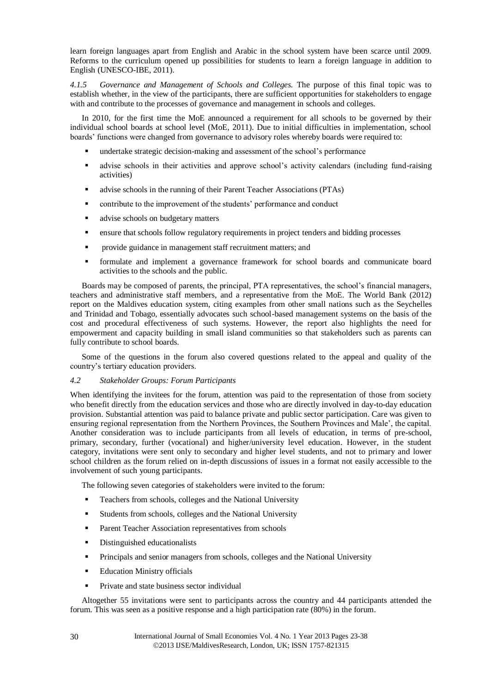learn foreign languages apart from English and Arabic in the school system have been scarce until 2009. Reforms to the curriculum opened up possibilities for students to learn a foreign language in addition to English (UNESCO-IBE, 2011).

*4.1.5 Governance and Management of Schools and Colleges.* The purpose of this final topic was to establish whether, in the view of the participants, there are sufficient opportunities for stakeholders to engage with and contribute to the processes of governance and management in schools and colleges.

In 2010, for the first time the MoE announced a requirement for all schools to be governed by their individual school boards at school level (MoE, 2011). Due to initial difficulties in implementation, school boards' functions were changed from governance to advisory roles whereby boards were required to:

- undertake strategic decision-making and assessment of the school's performance
- advise schools in their activities and approve school's activity calendars (including fund-raising activities)
- advise schools in the running of their Parent Teacher Associations (PTAs)
- contribute to the improvement of the students' performance and conduct
- **a** advise schools on budgetary matters
- **EXECUTE:** ensure that schools follow regulatory requirements in project tenders and bidding processes
- **PEDRIM** Provide guidance in management staff recruitment matters; and
- <span id="page-7-0"></span> formulate and implement a governance framework for school boards and communicate board activities to the schools and the public.

Boards may be composed of parents, the principal, PTA representatives, the school's financial managers, teachers and administrative staff members, and a representative from the MoE. The World Bank (2012) report on the Maldives education system, citing examples from other small nations such as the Seychelles and Trinidad and Tobago, essentially advocates such school-based management systems on the basis of the cost and procedural effectiveness of such systems. However, the report also highlights the need for empowerment and capacity building in small island communities so that stakeholders such as parents can fully contribute to school boards.

<span id="page-7-1"></span>Some of the questions in the forum also covered questions related to the appeal and quality of the country's tertiary education providers.

#### *4.2 Stakeholder Groups: Forum Participants*

When identifying the invitees for the forum, attention was paid to the representation of those from society who benefit directly from the education services and those who are directly involved in day-to-day education provision. Substantial attention was paid to balance private and public sector participation. Care was given to ensuring regional representation from the Northern Provinces, the Southern Provinces and Male', the capital. Another consideration was to include participants from all levels of education, in terms of pre-school, primary, secondary, further (vocational) and higher/university level education. However, in the student category, invitations were sent only to secondary and higher level students, and not to primary and lower school children as the forum relied on in-depth discussions of issues in a format not easily accessible to the involvement of such young participants.

The following seven categories of stakeholders were invited to the forum:

- **Teachers from schools, colleges and the National University**
- Students from schools, colleges and the National University
- **Parent Teacher Association representatives from schools**
- Distinguished educationalists
- Principals and senior managers from schools, colleges and the National University
- **Education Ministry officials**
- Private and state business sector individual

Altogether 55 invitations were sent to participants across the country and 44 participants attended the forum. This was seen as a positive response and a high participation rate (80%) in the forum.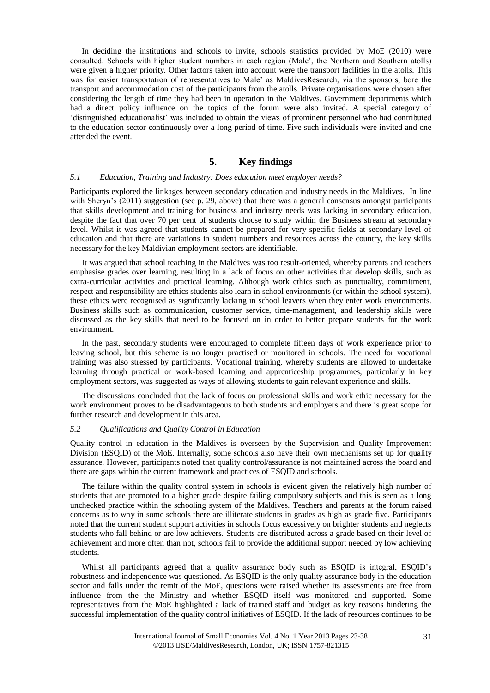In deciding the institutions and schools to invite, schools statistics provided by MoE (2010) were consulted. Schools with higher student numbers in each region (Male', the Northern and Southern atolls) were given a higher priority. Other factors taken into account were the transport facilities in the atolls. This was for easier transportation of representatives to Male' as MaldivesResearch, via the sponsors, bore the transport and accommodation cost of the participants from the atolls. Private organisations were chosen after considering the length of time they had been in operation in the Maldives. Government departments which had a direct policy influence on the topics of the forum were also invited. A special category of 'distinguished educationalist' was included to obtain the views of prominent personnel who had contributed to the education sector continuously over a long period of time. Five such individuals were invited and one attended the event.

#### **5. Key findings**

#### *5.1 Education, Training and Industry: Does education meet employer needs?*

Participants explored the linkages between secondary education and industry needs in the Maldives. In line with Sheryn's (2011) suggestion (see p. [29,](#page-6-0) above) that there was a general consensus amongst participants that skills development and training for business and industry needs was lacking in secondary education, despite the fact that over 70 per cent of students choose to study within the Business stream at secondary level. Whilst it was agreed that students cannot be prepared for very specific fields at secondary level of education and that there are variations in student numbers and resources across the country, the key skills necessary for the key Maldivian employment sectors are identifiable.

It was argued that school teaching in the Maldives was too result-oriented, whereby parents and teachers emphasise grades over learning, resulting in a lack of focus on other activities that develop skills, such as extra-curricular activities and practical learning. Although work ethics such as punctuality, commitment, respect and responsibility are ethics students also learn in school environments (or within the school system), these ethics were recognised as significantly lacking in school leavers when they enter work environments. Business skills such as communication, customer service, time-management, and leadership skills were discussed as the key skills that need to be focused on in order to better prepare students for the work environment.

In the past, secondary students were encouraged to complete fifteen days of work experience prior to leaving school, but this scheme is no longer practised or monitored in schools. The need for vocational training was also stressed by participants. Vocational training, whereby students are allowed to undertake learning through practical or work-based learning and apprenticeship programmes, particularly in key employment sectors, was suggested as ways of allowing students to gain relevant experience and skills.

The discussions concluded that the lack of focus on professional skills and work ethic necessary for the work environment proves to be disadvantageous to both students and employers and there is great scope for further research and development in this area.

#### *5.2 Qualifications and Quality Control in Education*

Quality control in education in the Maldives is overseen by the Supervision and Quality Improvement Division (ESQID) of the MoE. Internally, some schools also have their own mechanisms set up for quality assurance. However, participants noted that quality control/assurance is not maintained across the board and there are gaps within the current framework and practices of ESQID and schools.

The failure within the quality control system in schools is evident given the relatively high number of students that are promoted to a higher grade despite failing compulsory subjects and this is seen as a long unchecked practice within the schooling system of the Maldives. Teachers and parents at the forum raised concerns as to why in some schools there are illiterate students in grades as high as grade five. Participants noted that the current student support activities in schools focus excessively on brighter students and neglects students who fall behind or are low achievers. Students are distributed across a grade based on their level of achievement and more often than not, schools fail to provide the additional support needed by low achieving students.

Whilst all participants agreed that a quality assurance body such as ESQID is integral, ESQID's robustness and independence was questioned. As ESQID is the only quality assurance body in the education sector and falls under the remit of the MoE, questions were raised whether its assessments are free from influence from the the Ministry and whether ESQID itself was monitored and supported. Some representatives from the MoE highlighted a lack of trained staff and budget as key reasons hindering the successful implementation of the quality control initiatives of ESQID. If the lack of resources continues to be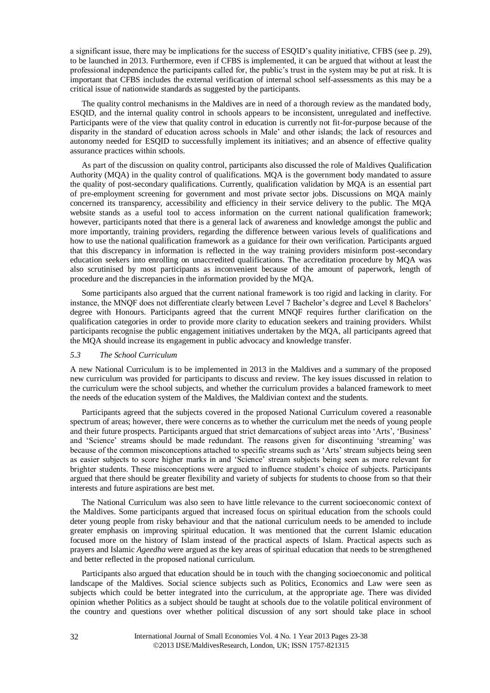a significant issue, there may be implications for the success of ESQID's quality initiative, CFBS (see p. [29\)](#page-6-1), to be launched in 2013. Furthermore, even if CFBS is implemented, it can be argued that without at least the professional independence the participants called for, the public's trust in the system may be put at risk. It is important that CFBS includes the external verification of internal school self-assessments as this may be a critical issue of nationwide standards as suggested by the participants.

<span id="page-9-0"></span>The quality control mechanisms in the Maldives are in need of a thorough review as the mandated body, ESQID, and the internal quality control in schools appears to be inconsistent, unregulated and ineffective. Participants were of the view that quality control in education is currently not fit-for-purpose because of the disparity in the standard of education across schools in Male' and other islands; the lack of resources and autonomy needed for ESQID to successfully implement its initiatives; and an absence of effective quality assurance practices within schools.

As part of the discussion on quality control, participants also discussed the role of Maldives Qualification Authority (MQA) in the quality control of qualifications. MQA is the government body mandated to assure the quality of post-secondary qualifications. Currently, qualification validation by MQA is an essential part of pre-employment screening for government and most private sector jobs. Discussions on MQA mainly concerned its transparency, accessibility and efficiency in their service delivery to the public. The MQA website stands as a useful tool to access information on the current national qualification framework; however, participants noted that there is a general lack of awareness and knowledge amongst the public and more importantly, training providers, regarding the difference between various levels of qualifications and how to use the national qualification framework as a guidance for their own verification. Participants argued that this discrepancy in information is reflected in the way training providers misinform post-secondary education seekers into enrolling on unaccredited qualifications. The accreditation procedure by MQA was also scrutinised by most participants as inconvenient because of the amount of paperwork, length of procedure and the discrepancies in the information provided by the MQA.

Some participants also argued that the current national framework is too rigid and lacking in clarity. For instance, the MNQF does not differentiate clearly between Level 7 Bachelor's degree and Level 8 Bachelors' degree with Honours. Participants agreed that the current MNQF requires further clarification on the qualification categories in order to provide more clarity to education seekers and training providers. Whilst participants recognise the public engagement initiatives undertaken by the MQA, all participants agreed that the MQA should increase its engagement in public advocacy and knowledge transfer.

#### *5.3 The School Curriculum*

A new National Curriculum is to be implemented in 2013 in the Maldives and a summary of the proposed new curriculum was provided for participants to discuss and review. The key issues discussed in relation to the curriculum were the school subjects, and whether the curriculum provides a balanced framework to meet the needs of the education system of the Maldives, the Maldivian context and the students.

Participants agreed that the subjects covered in the proposed National Curriculum covered a reasonable spectrum of areas; however, there were concerns as to whether the curriculum met the needs of young people and their future prospects. Participants argued that strict demarcations of subject areas into 'Arts', 'Business' and 'Science' streams should be made redundant. The reasons given for discontinuing 'streaming' was because of the common misconceptions attached to specific streams such as 'Arts' stream subjects being seen as easier subjects to score higher marks in and 'Science' stream subjects being seen as more relevant for brighter students. These misconceptions were argued to influence student's choice of subjects. Participants argued that there should be greater flexibility and variety of subjects for students to choose from so that their interests and future aspirations are best met.

The National Curriculum was also seen to have little relevance to the current socioeconomic context of the Maldives. Some participants argued that increased focus on spiritual education from the schools could deter young people from risky behaviour and that the national curriculum needs to be amended to include greater emphasis on improving spiritual education. It was mentioned that the current Islamic education focused more on the history of Islam instead of the practical aspects of Islam. Practical aspects such as prayers and Islamic *Ageedha* were argued as the key areas of spiritual education that needs to be strengthened and better reflected in the proposed national curriculum.

Participants also argued that education should be in touch with the changing socioeconomic and political landscape of the Maldives. Social science subjects such as Politics, Economics and Law were seen as subjects which could be better integrated into the curriculum, at the appropriate age. There was divided opinion whether Politics as a subject should be taught at schools due to the volatile political environment of the country and questions over whether political discussion of any sort should take place in school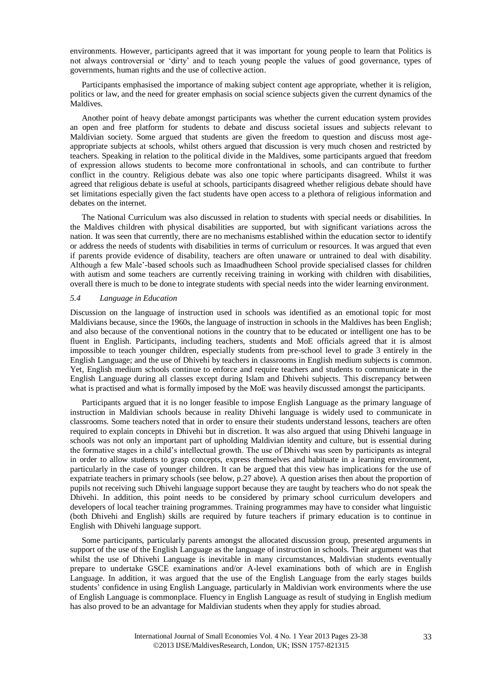environments. However, participants agreed that it was important for young people to learn that Politics is not always controversial or 'dirty' and to teach young people the values of good governance, types of governments, human rights and the use of collective action.

Participants emphasised the importance of making subject content age appropriate, whether it is religion, politics or law, and the need for greater emphasis on social science subjects given the current dynamics of the Maldives.

Another point of heavy debate amongst participants was whether the current education system provides an open and free platform for students to debate and discuss societal issues and subjects relevant to Maldivian society. Some argued that students are given the freedom to question and discuss most ageappropriate subjects at schools, whilst others argued that discussion is very much chosen and restricted by teachers. Speaking in relation to the political divide in the Maldives, some participants argued that freedom of expression allows students to become more confrontational in schools, and can contribute to further conflict in the country. Religious debate was also one topic where participants disagreed. Whilst it was agreed that religious debate is useful at schools, participants disagreed whether religious debate should have set limitations especially given the fact students have open access to a plethora of religious information and debates on the internet.

The National Curriculum was also discussed in relation to students with special needs or disabilities. In the Maldives children with physical disabilities are supported, but with significant variations across the nation. It was seen that currently, there are no mechanisms established within the education sector to identify or address the needs of students with disabilities in terms of curriculum or resources. It was argued that even if parents provide evidence of disability, teachers are often unaware or untrained to deal with disability. Although a few Male'-based schools such as Imaadhudheen School provide specialised classes for children with autism and some teachers are currently receiving training in working with children with disabilities, overall there is much to be done to integrate students with special needs into the wider learning environment.

#### *5.4 Language in Education*

Discussion on the language of instruction used in schools was identified as an emotional topic for most Maldivians because, since the 1960s, the language of instruction in schools in the Maldives has been English; and also because of the conventional notions in the country that to be educated or intelligent one has to be fluent in English. Participants, including teachers, students and MoE officials agreed that it is almost impossible to teach younger children, especially students from pre-school level to grade 3 entirely in the English Language; and the use of Dhivehi by teachers in classrooms in English medium subjects is common. Yet, English medium schools continue to enforce and require teachers and students to communicate in the English Language during all classes except during Islam and Dhivehi subjects. This discrepancy between what is practised and what is formally imposed by the MoE was heavily discussed amongst the participants.

Participants argued that it is no longer feasible to impose English Language as the primary language of instruction in Maldivian schools because in reality Dhivehi language is widely used to communicate in classrooms. Some teachers noted that in order to ensure their students understand lessons, teachers are often required to explain concepts in Dhivehi but in discretion. It was also argued that using Dhivehi language in schools was not only an important part of upholding Maldivian identity and culture, but is essential during the formative stages in a child's intellectual growth. The use of Dhivehi was seen by participants as integral in order to allow students to grasp concepts, express themselves and habituate in a learning environment, particularly in the case of younger children. It can be argued that this view has implications for the use of expatriate teachers in primary schools (see below, p[.27](#page-4-0) above). A question arises then about the proportion of pupils not receiving such Dhivehi language support because they are taught by teachers who do not speak the Dhivehi. In addition, this point needs to be considered by primary school curriculum developers and developers of local teacher training programmes. Training programmes may have to consider what linguistic (both Dhivehi and English) skills are required by future teachers if primary education is to continue in English with Dhivehi language support.

Some participants, particularly parents amongst the allocated discussion group, presented arguments in support of the use of the English Language as the language of instruction in schools. Their argument was that whilst the use of Dhivehi Language is inevitable in many circumstances, Maldivian students eventually prepare to undertake GSCE examinations and/or A-level examinations both of which are in English Language. In addition, it was argued that the use of the English Language from the early stages builds students' confidence in using English Language, particularly in Maldivian work environments where the use of English Language is commonplace. Fluency in English Language as result of studying in English medium has also proved to be an advantage for Maldivian students when they apply for studies abroad.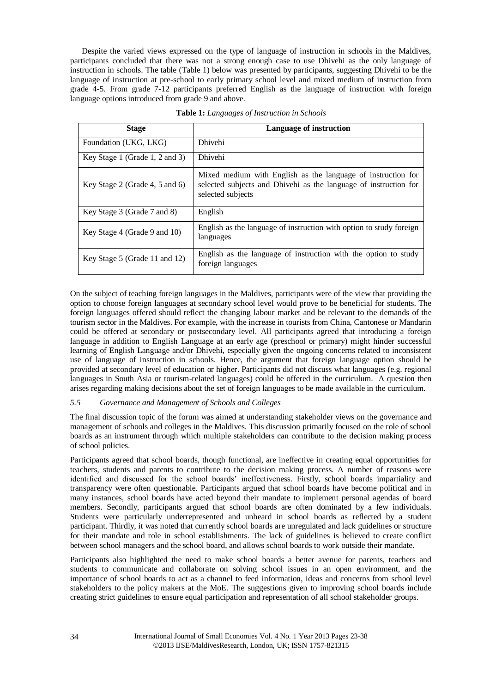Despite the varied views expressed on the type of language of instruction in schools in the Maldives, participants concluded that there was not a strong enough case to use Dhivehi as the only language of instruction in schools. The table (Table 1) below was presented by participants, suggesting Dhivehi to be the language of instruction at pre-school to early primary school level and mixed medium of instruction from grade 4-5. From grade 7-12 participants preferred English as the language of instruction with foreign language options introduced from grade 9 and above.

| <b>Stage</b>                   | Language of instruction                                                                                                                               |
|--------------------------------|-------------------------------------------------------------------------------------------------------------------------------------------------------|
| Foundation (UKG, LKG)          | <b>Dhivehi</b>                                                                                                                                        |
| Key Stage 1 (Grade 1, 2 and 3) | <b>Dhivehi</b>                                                                                                                                        |
| Key Stage 2 (Grade 4, 5 and 6) | Mixed medium with English as the language of instruction for<br>selected subjects and Dhivehi as the language of instruction for<br>selected subjects |
| Key Stage 3 (Grade 7 and 8)    | English                                                                                                                                               |
| Key Stage 4 (Grade 9 and 10)   | English as the language of instruction with option to study foreign<br>languages                                                                      |
| Key Stage 5 (Grade 11 and 12)  | English as the language of instruction with the option to study<br>foreign languages                                                                  |

**Table 1:** *Languages of Instruction in Schools*

On the subject of teaching foreign languages in the Maldives, participants were of the view that providing the option to choose foreign languages at secondary school level would prove to be beneficial for students. The foreign languages offered should reflect the changing labour market and be relevant to the demands of the tourism sector in the Maldives. For example, with the increase in tourists from China, Cantonese or Mandarin could be offered at secondary or postsecondary level. All participants agreed that introducing a foreign language in addition to English Language at an early age (preschool or primary) might hinder successful learning of English Language and/or Dhivehi, especially given the ongoing concerns related to inconsistent use of language of instruction in schools. Hence, the argument that foreign language option should be provided at secondary level of education or higher. Participants did not discuss what languages (e.g. regional languages in South Asia or tourism-related languages) could be offered in the curriculum. A question then arises regarding making decisions about the set of foreign languages to be made available in the curriculum.

#### *5.5 Governance and Management of Schools and Colleges*

The final discussion topic of the forum was aimed at understanding stakeholder views on the governance and management of schools and colleges in the Maldives. This discussion primarily focused on the role of school boards as an instrument through which multiple stakeholders can contribute to the decision making process of school policies.

Participants agreed that school boards, though functional, are ineffective in creating equal opportunities for teachers, students and parents to contribute to the decision making process. A number of reasons were identified and discussed for the school boards' ineffectiveness. Firstly, school boards impartiality and transparency were often questionable. Participants argued that school boards have become political and in many instances, school boards have acted beyond their mandate to implement personal agendas of board members. Secondly, participants argued that school boards are often dominated by a few individuals. Students were particularly underrepresented and unheard in school boards as reflected by a student participant. Thirdly, it was noted that currently school boards are unregulated and lack guidelines or structure for their mandate and role in school establishments. The lack of guidelines is believed to create conflict between school managers and the school board, and allows school boards to work outside their mandate.

Participants also highlighted the need to make school boards a better avenue for parents, teachers and students to communicate and collaborate on solving school issues in an open environment, and the importance of school boards to act as a channel to feed information, ideas and concerns from school level stakeholders to the policy makers at the MoE. The suggestions given to improving school boards include creating strict guidelines to ensure equal participation and representation of all school stakeholder groups.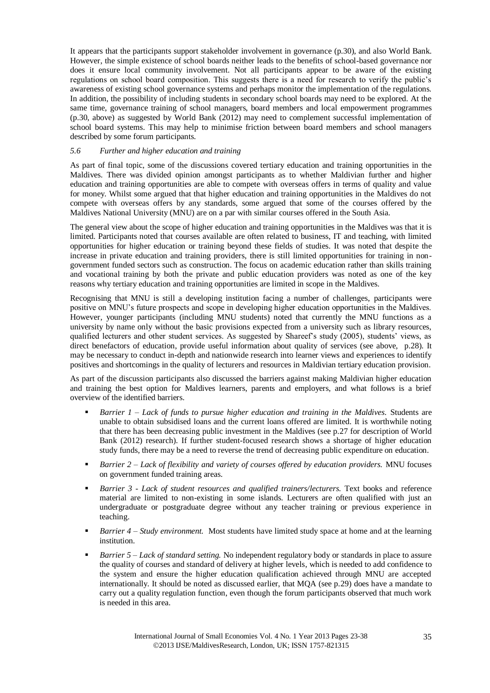It appears that the participants support stakeholder involvement in governance (p[.30\)](#page-7-0), and also World Bank. However, the simple existence of school boards neither leads to the benefits of school-based governance nor does it ensure local community involvement. Not all participants appear to be aware of the existing regulations on school board composition. This suggests there is a need for research to verify the public's awareness of existing school governance systems and perhaps monitor the implementation of the regulations. In addition, the possibility of including students in secondary school boards may need to be explored. At the same time, governance training of school managers, board members and local empowerment programmes (p[.30,](#page-7-1) above) as suggested by World Bank (2012) may need to complement successful implementation of school board systems. This may help to minimise friction between board members and school managers described by some forum participants.

#### *5.6 Further and higher education and training*

As part of final topic, some of the discussions covered tertiary education and training opportunities in the Maldives. There was divided opinion amongst participants as to whether Maldivian further and higher education and training opportunities are able to compete with overseas offers in terms of quality and value for money. Whilst some argued that that higher education and training opportunities in the Maldives do not compete with overseas offers by any standards, some argued that some of the courses offered by the Maldives National University (MNU) are on a par with similar courses offered in the South Asia.

The general view about the scope of higher education and training opportunities in the Maldives was that it is limited. Participants noted that courses available are often related to business, IT and teaching, with limited opportunities for higher education or training beyond these fields of studies. It was noted that despite the increase in private education and training providers, there is still limited opportunities for training in nongovernment funded sectors such as construction. The focus on academic education rather than skills training and vocational training by both the private and public education providers was noted as one of the key reasons why tertiary education and training opportunities are limited in scope in the Maldives.

Recognising that MNU is still a developing institution facing a number of challenges, participants were positive on MNU's future prospects and scope in developing higher education opportunities in the Maldives. However, younger participants (including MNU students) noted that currently the MNU functions as a university by name only without the basic provisions expected from a university such as library resources, qualified lecturers and other student services. As suggested by Shareef's study (2005), students' views, as direct benefactors of education, provide useful information about quality of services (see above, p[.28\)](#page-5-0). It may be necessary to conduct in-depth and nationwide research into learner views and experiences to identify positives and shortcomings in the quality of lecturers and resources in Maldivian tertiary education provision.

As part of the discussion participants also discussed the barriers against making Maldivian higher education and training the best option for Maldives learners, parents and employers, and what follows is a brief overview of the identified barriers.

- *Barrier 1 – Lack of funds to pursue higher education and training in the Maldives.* Students are unable to obtain subsidised loans and the current loans offered are limited. It is worthwhile noting that there has been decreasing public investment in the Maldives (see p[.27](#page-4-1) for description of World Bank (2012) research). If further student-focused research shows a shortage of higher education study funds, there may be a need to reverse the trend of decreasing public expenditure on education.
- *Barrier 2 – Lack of flexibility and variety of courses offered by education providers.* MNU focuses on government funded training areas.
- *Barrier 3 - Lack of student resources and qualified trainers/lecturers.* Text books and reference material are limited to non-existing in some islands. Lecturers are often qualified with just an undergraduate or postgraduate degree without any teacher training or previous experience in teaching.
- *Barrier 4 – Study environment.* Most students have limited study space at home and at the learning institution.
- *Barrier 5 – Lack of standard setting.* No independent regulatory body or standards in place to assure the quality of courses and standard of delivery at higher levels, which is needed to add confidence to the system and ensure the higher education qualification achieved through MNU are accepted internationally. It should be noted as discussed earlier, that MQA (see p[.29\)](#page-6-2) does have a mandate to carry out a quality regulation function, even though the forum participants observed that much work is needed in this area.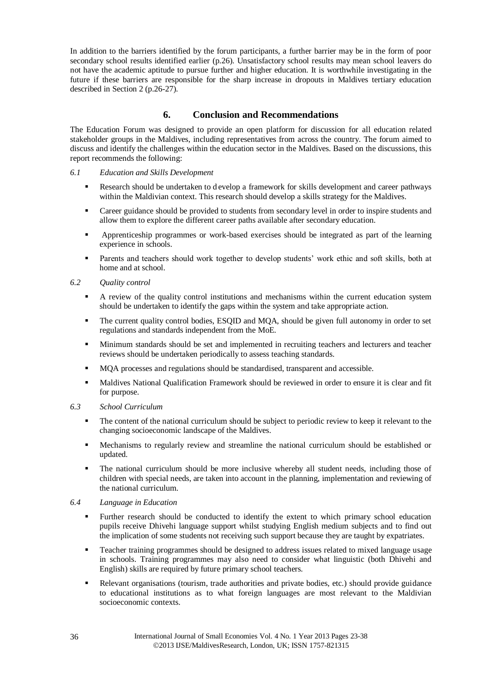In addition to the barriers identified by the forum participants, a further barrier may be in the form of poor secondary school results identified earlier (p[.26\)](#page-3-1). Unsatisfactory school results may mean school leavers do not have the academic aptitude to pursue further and higher education. It is worthwhile investigating in the future if these barriers are responsible for the sharp increase in dropouts in Maldives tertiary education described in Section 2 (p[.26](#page-3-2)[-27\)](#page-4-2).

# **6. Conclusion and Recommendations**

The Education Forum was designed to provide an open platform for discussion for all education related stakeholder groups in the Maldives, including representatives from across the country. The forum aimed to discuss and identify the challenges within the education sector in the Maldives. Based on the discussions, this report recommends the following:

#### *6.1 Education and Skills Development*

- Research should be undertaken to d evelop a framework for skills development and career pathways within the Maldivian context. This research should develop a skills strategy for the Maldives.
- Career guidance should be provided to students from secondary level in order to inspire students and allow them to explore the different career paths available after secondary education.
- Apprenticeship programmes or work-based exercises should be integrated as part of the learning experience in schools.
- Parents and teachers should work together to develop students' work ethic and soft skills, both at home and at school.
- *6.2 Quality control*
	- A review of the quality control institutions and mechanisms within the current education system should be undertaken to identify the gaps within the system and take appropriate action.
	- The current quality control bodies, ESQID and MOA, should be given full autonomy in order to set regulations and standards independent from the MoE.
	- Minimum standards should be set and implemented in recruiting teachers and lecturers and teacher reviews should be undertaken periodically to assess teaching standards.
	- MQA processes and regulations should be standardised, transparent and accessible.
	- Maldives National Qualification Framework should be reviewed in order to ensure it is clear and fit for purpose.

#### *6.3 School Curriculum*

- The content of the national curriculum should be subject to periodic review to keep it relevant to the changing socioeconomic landscape of the Maldives.
- Mechanisms to regularly review and streamline the national curriculum should be established or updated.
- The national curriculum should be more inclusive whereby all student needs, including those of children with special needs, are taken into account in the planning, implementation and reviewing of the national curriculum.

#### *6.4 Language in Education*

- Further research should be conducted to identify the extent to which primary school education pupils receive Dhivehi language support whilst studying English medium subjects and to find out the implication of some students not receiving such support because they are taught by expatriates.
- Teacher training programmes should be designed to address issues related to mixed language usage in schools. Training programmes may also need to consider what linguistic (both Dhivehi and English) skills are required by future primary school teachers.
- Relevant organisations (tourism, trade authorities and private bodies, etc.) should provide guidance to educational institutions as to what foreign languages are most relevant to the Maldivian socioeconomic contexts.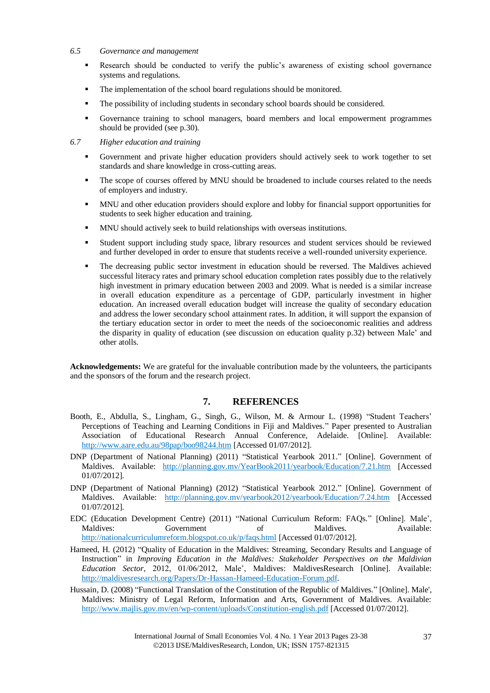#### *6.5 Governance and management*

- Research should be conducted to verify the public's awareness of existing school governance systems and regulations.
- The implementation of the school board regulations should be monitored.
- The possibility of including students in secondary school boards should be considered.
- Governance training to school managers, board members and local empowerment programmes should be provided (see p[.30\)](#page-7-1).
- *6.7 Higher education and training* 
	- Government and private higher education providers should actively seek to work together to set standards and share knowledge in cross-cutting areas.
	- The scope of courses offered by MNU should be broadened to include courses related to the needs of employers and industry.
	- MNU and other education providers should explore and lobby for financial support opportunities for students to seek higher education and training.
	- MNU should actively seek to build relationships with overseas institutions.
	- Student support including study space, library resources and student services should be reviewed and further developed in order to ensure that students receive a well-rounded university experience.
	- The decreasing public sector investment in education should be reversed. The Maldives achieved successful literacy rates and primary school education completion rates possibly due to the relatively high investment in primary education between 2003 and 2009. What is needed is a similar increase in overall education expenditure as a percentage of GDP, particularly investment in higher education. An increased overall education budget will increase the quality of secondary education and address the lower secondary school attainment rates. In addition, it will support the expansion of the tertiary education sector in order to meet the needs of the socioeconomic realities and address the disparity in quality of education (see discussion on education quality p[.32\)](#page-9-0) between Male' and other atolls.

**Acknowledgements:** We are grateful for the invaluable contribution made by the volunteers, the participants and the sponsors of the forum and the research project.

# **7. REFERENCES**

- Booth, E., Abdulla, S., Lingham, G., Singh, G., Wilson, M. & Armour L. (1998) "Student Teachers' Perceptions of Teaching and Learning Conditions in Fiji and Maldives." Paper presented to Australian Association of Educational Research Annual Conference, Adelaide. [Online]. Available: <http://www.aare.edu.au/98pap/boo98244.htm> [Accessed 01/07/2012].
- DNP (Department of National Planning) (2011) "Statistical Yearbook 2011." [Online]. Government of Maldives. Available: <http://planning.gov.mv/YearBook2011/yearbook/Education/7.21.htm> [Accessed] 01/07/2012].
- DNP (Department of National Planning) (2012) "Statistical Yearbook 2012." [Online]. Government of Maldives. Available: <http://planning.gov.mv/yearbook2012/yearbook/Education/7.24.htm> [Accessed 01/07/2012].
- EDC (Education Development Centre) (2011) "National Curriculum Reform: FAQs." [Online]. Male', Maldives: Government of Maldives. Available: <http://nationalcurriculumreform.blogspot.co.uk/p/faqs.html> [Accessed 01/07/2012].
- Hameed, H. (2012) "Quality of Education in the Maldives: Streaming, Secondary Results and Language of Instruction" in *Improving Education in the Maldives: Stakeholder Perspectives on the Maldivian Education Sector*, 2012, 01/06/2012, Male', Maldives: MaldivesResearch [Online]. Available: [http://maldivesresearch.org/Papers/Dr-Hassan-Hameed-Education-Forum.pdf.](http://maldivesresearch.org/Papers/Dr-Hassan-Hameed-Education-Forum.pdf)
- Hussain, D. (2008) "Functional Translation of the Constitution of the Republic of Maldives." [Online]. Male', Maldives: Ministry of Legal Reform, Information and Arts, Government of Maldives. Available: <http://www.majlis.gov.mv/en/wp-content/uploads/Constitution-english.pdf> [Accessed 01/07/2012].